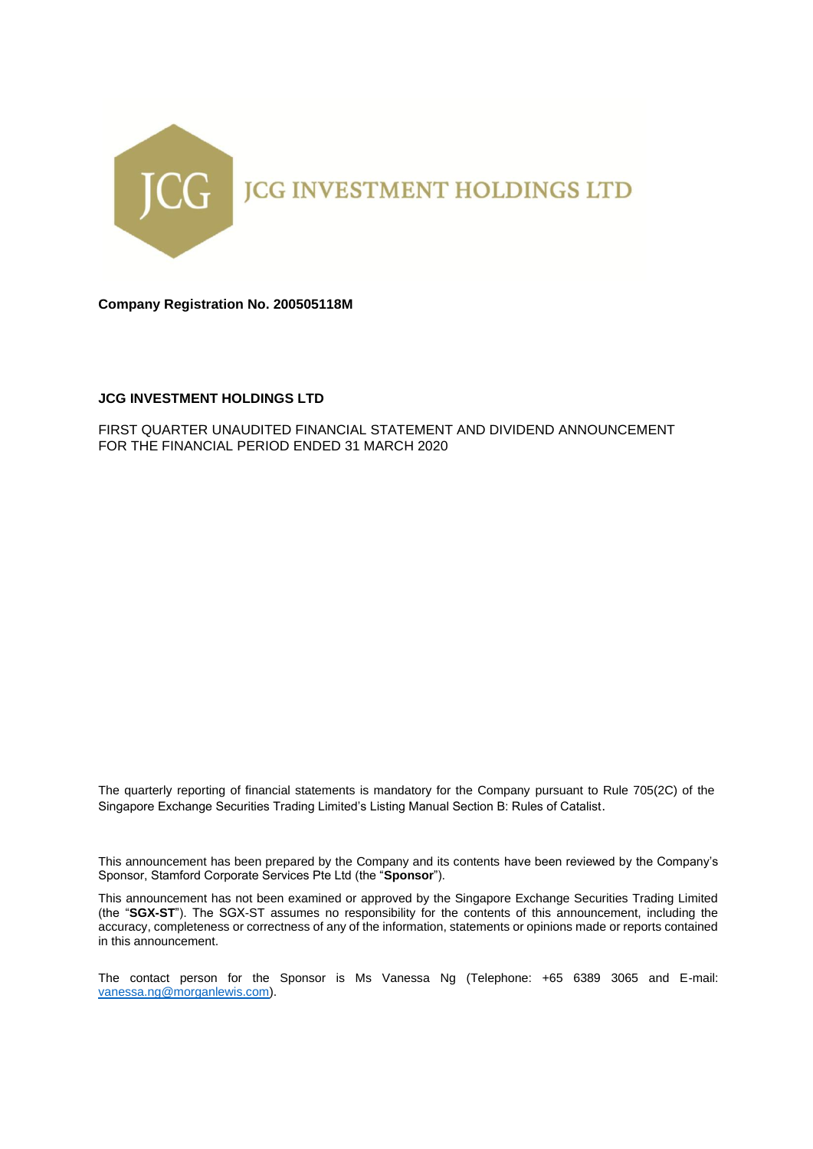

**Company Registration No. 200505118M**

## **JCG INVESTMENT HOLDINGS LTD**

FIRST QUARTER UNAUDITED FINANCIAL STATEMENT AND DIVIDEND ANNOUNCEMENT FOR THE FINANCIAL PERIOD ENDED 31 MARCH 2020

The quarterly reporting of financial statements is mandatory for the Company pursuant to Rule 705(2C) of the Singapore Exchange Securities Trading Limited's Listing Manual Section B: Rules of Catalist.

This announcement has been prepared by the Company and its contents have been reviewed by the Company's Sponsor, Stamford Corporate Services Pte Ltd (the "**Sponsor**").

This announcement has not been examined or approved by the Singapore Exchange Securities Trading Limited (the "**SGX-ST**"). The SGX-ST assumes no responsibility for the contents of this announcement, including the accuracy, completeness or correctness of any of the information, statements or opinions made or reports contained in this announcement.

The contact person for the Sponsor is Ms Vanessa Ng (Telephone: +65 6389 3065 and E-mail: [vanessa.ng@morganlewis.com\)](mailto:vanessa.ng@morganlewis.com).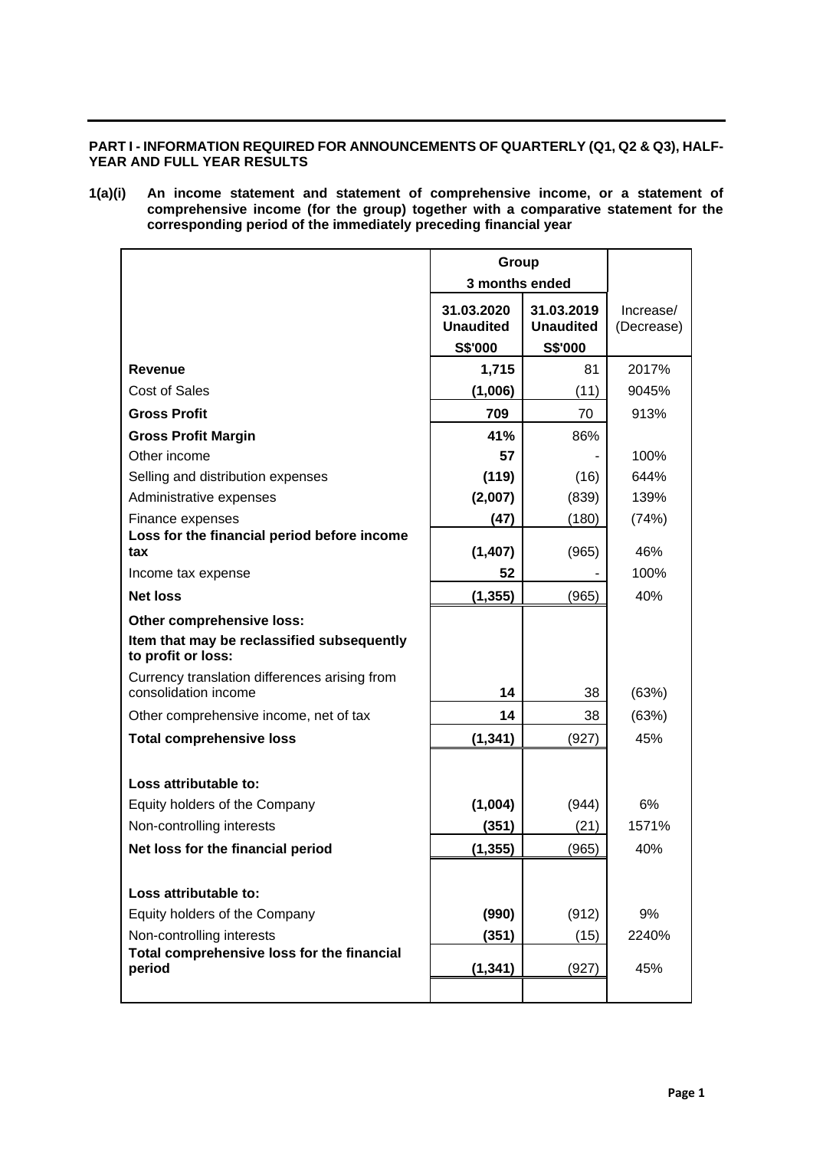## **PART I - INFORMATION REQUIRED FOR ANNOUNCEMENTS OF QUARTERLY (Q1, Q2 & Q3), HALF-YEAR AND FULL YEAR RESULTS**

**1(a)(i) An income statement and statement of comprehensive income, or a statement of comprehensive income (for the group) together with a comparative statement for the corresponding period of the immediately preceding financial year**

|                                                                                               | Group<br>3 months ended                   |                                           |                         |
|-----------------------------------------------------------------------------------------------|-------------------------------------------|-------------------------------------------|-------------------------|
|                                                                                               | 31.03.2020<br><b>Unaudited</b><br>S\$'000 | 31.03.2019<br><b>Unaudited</b><br>S\$'000 | Increase/<br>(Decrease) |
| Revenue                                                                                       | 1,715                                     | 81                                        | 2017%                   |
| <b>Cost of Sales</b>                                                                          | (1,006)                                   | (11)                                      | 9045%                   |
| <b>Gross Profit</b>                                                                           | 709                                       | 70                                        | 913%                    |
| <b>Gross Profit Margin</b>                                                                    | 41%                                       | 86%                                       |                         |
| Other income                                                                                  | 57                                        |                                           | 100%                    |
| Selling and distribution expenses                                                             | (119)                                     | (16)                                      | 644%                    |
| Administrative expenses                                                                       | (2,007)                                   | (839)                                     | 139%                    |
| Finance expenses                                                                              | (47)                                      | (180)                                     | (74%)                   |
| Loss for the financial period before income<br>tax                                            |                                           |                                           | 46%                     |
|                                                                                               | (1,407)<br>52                             | (965)                                     | 100%                    |
| Income tax expense                                                                            |                                           |                                           | 40%                     |
| <b>Net loss</b>                                                                               | (1, 355)                                  | (965)                                     |                         |
| Other comprehensive loss:<br>Item that may be reclassified subsequently<br>to profit or loss: |                                           |                                           |                         |
| Currency translation differences arising from<br>consolidation income                         | 14                                        | 38                                        | (63%)                   |
| Other comprehensive income, net of tax                                                        | 14                                        | 38                                        | (63%)                   |
| <b>Total comprehensive loss</b>                                                               | (1, 341)                                  | (927)                                     | 45%                     |
|                                                                                               |                                           |                                           |                         |
| Loss attributable to:                                                                         |                                           |                                           |                         |
| Equity holders of the Company                                                                 | (1,004)                                   | (944)                                     | 6%                      |
| Non-controlling interests                                                                     | (351)                                     | (21)                                      | 1571%                   |
| Net loss for the financial period                                                             | (1, 355)                                  | (965)                                     | 40%                     |
|                                                                                               |                                           |                                           |                         |
| Loss attributable to:                                                                         |                                           |                                           |                         |
| Equity holders of the Company                                                                 | (990)                                     | (912)                                     | 9%                      |
| Non-controlling interests                                                                     | (351)                                     | (15)                                      | 2240%                   |
| Total comprehensive loss for the financial                                                    |                                           |                                           |                         |
| period                                                                                        | (1, 341)                                  | (927)                                     | 45%                     |
|                                                                                               |                                           |                                           |                         |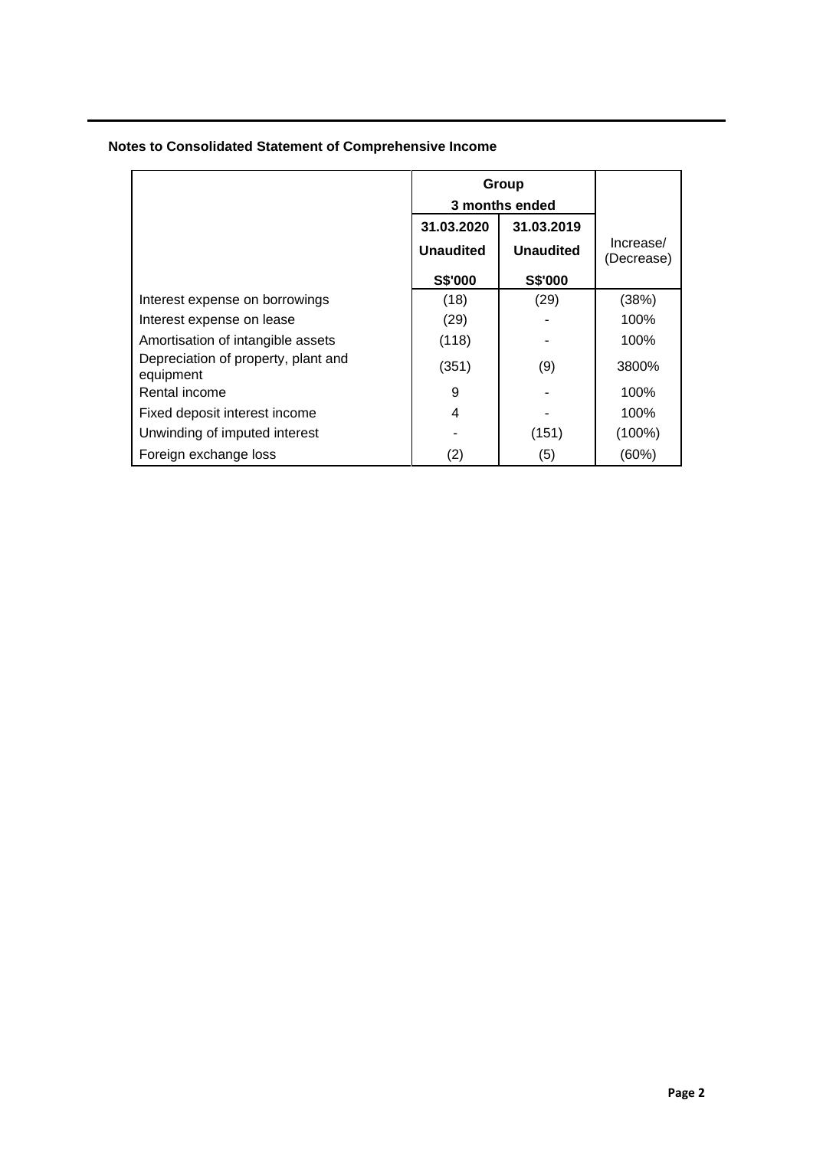|  | <b>Notes to Consolidated Statement of Comprehensive Income</b> |  |
|--|----------------------------------------------------------------|--|
|  |                                                                |  |

|                                                  |                                | Group<br>3 months ended        |                         |  |
|--------------------------------------------------|--------------------------------|--------------------------------|-------------------------|--|
|                                                  | 31.03.2020<br><b>Unaudited</b> | 31.03.2019<br><b>Unaudited</b> | Increase/<br>(Decrease) |  |
|                                                  | <b>S\$'000</b>                 | S\$'000                        |                         |  |
| Interest expense on borrowings                   | (18)                           | (29)                           | (38%)                   |  |
| Interest expense on lease                        | (29)                           |                                | 100%                    |  |
| Amortisation of intangible assets                | (118)                          |                                | 100%                    |  |
| Depreciation of property, plant and<br>equipment | (351)                          | (9)                            | 3800%                   |  |
| Rental income                                    | 9                              |                                | 100%                    |  |
| Fixed deposit interest income                    | 4                              |                                | 100%                    |  |
| Unwinding of imputed interest                    |                                | (151)                          | $(100\%)$               |  |
| Foreign exchange loss                            | (2)                            | (5)                            | (60%)                   |  |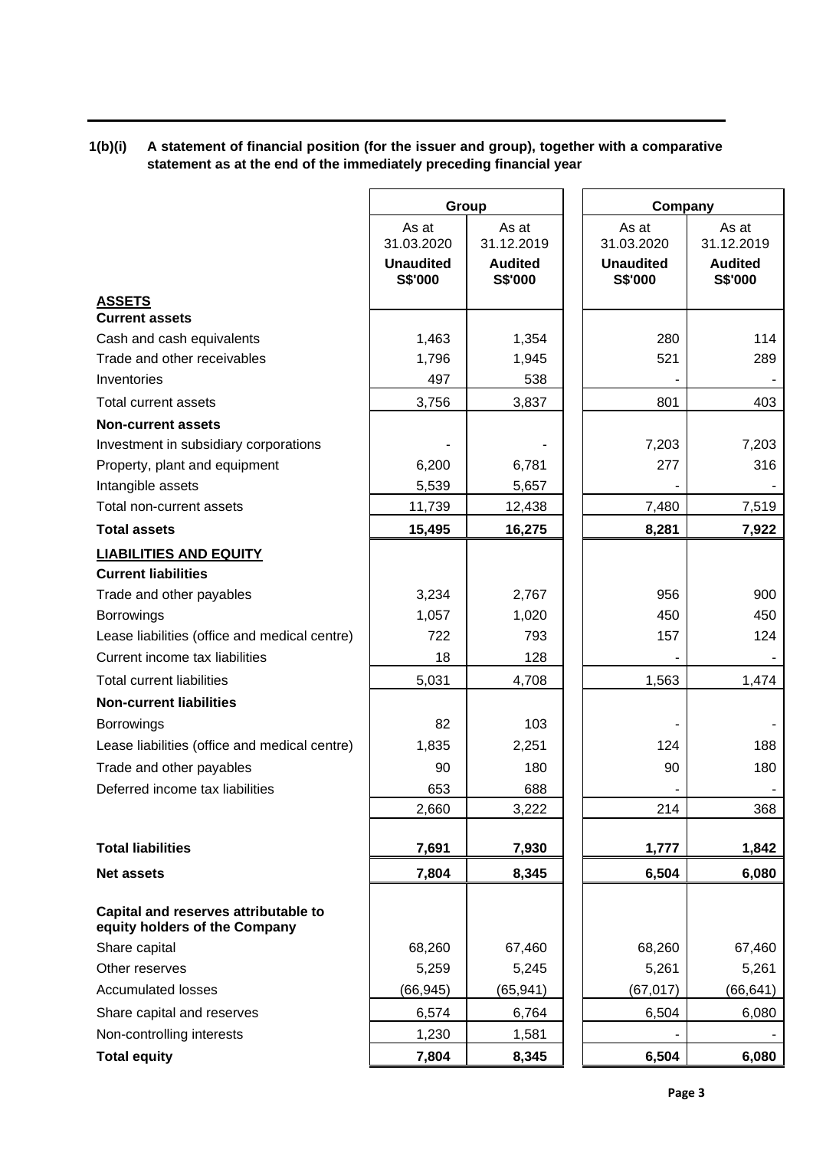# **1(b)(i) A statement of financial position (for the issuer and group), together with a comparative statement as at the end of the immediately preceding financial year**

|                                                                       | Group                                              |                                                  | Company                                            |                                                  |
|-----------------------------------------------------------------------|----------------------------------------------------|--------------------------------------------------|----------------------------------------------------|--------------------------------------------------|
|                                                                       | As at<br>31.03.2020<br><b>Unaudited</b><br>S\$'000 | As at<br>31.12.2019<br><b>Audited</b><br>S\$'000 | As at<br>31.03.2020<br><b>Unaudited</b><br>S\$'000 | As at<br>31.12.2019<br><b>Audited</b><br>S\$'000 |
| <b>ASSETS</b>                                                         |                                                    |                                                  |                                                    |                                                  |
| <b>Current assets</b>                                                 |                                                    |                                                  |                                                    |                                                  |
| Cash and cash equivalents                                             | 1,463                                              | 1,354                                            | 280                                                | 114                                              |
| Trade and other receivables                                           | 1,796                                              | 1,945                                            | 521                                                | 289                                              |
| Inventories                                                           | 497                                                | 538                                              |                                                    |                                                  |
| Total current assets                                                  | 3,756                                              | 3,837                                            | 801                                                | 403                                              |
| <b>Non-current assets</b>                                             |                                                    |                                                  |                                                    |                                                  |
| Investment in subsidiary corporations                                 |                                                    |                                                  | 7,203                                              | 7,203                                            |
| Property, plant and equipment                                         | 6,200                                              | 6,781                                            | 277                                                | 316                                              |
| Intangible assets                                                     | 5,539                                              | 5,657                                            |                                                    |                                                  |
| Total non-current assets                                              | 11,739                                             | 12,438                                           | 7,480                                              | 7,519                                            |
| <b>Total assets</b>                                                   | 15,495                                             | 16,275                                           | 8,281                                              | 7,922                                            |
| <b>LIABILITIES AND EQUITY</b>                                         |                                                    |                                                  |                                                    |                                                  |
| <b>Current liabilities</b>                                            |                                                    |                                                  |                                                    |                                                  |
| Trade and other payables                                              | 3,234                                              | 2,767                                            | 956                                                | 900                                              |
| <b>Borrowings</b>                                                     | 1,057                                              | 1,020                                            | 450                                                | 450                                              |
| Lease liabilities (office and medical centre)                         | 722                                                | 793                                              | 157                                                | 124                                              |
| Current income tax liabilities                                        | 18                                                 | 128                                              |                                                    |                                                  |
| <b>Total current liabilities</b>                                      | 5,031                                              | 4,708                                            | 1,563                                              | 1,474                                            |
| <b>Non-current liabilities</b>                                        |                                                    |                                                  |                                                    |                                                  |
| <b>Borrowings</b>                                                     | 82                                                 | 103                                              |                                                    |                                                  |
| Lease liabilities (office and medical centre)                         | 1,835                                              | 2,251                                            | 124                                                | 188                                              |
| Trade and other payables                                              | 90                                                 | 180                                              | 90                                                 | 180                                              |
| Deferred income tax liabilities                                       | 653                                                | 688                                              |                                                    |                                                  |
|                                                                       | 2,660                                              | 3,222                                            | 214                                                | 368                                              |
| <b>Total liabilities</b>                                              | 7,691                                              | 7,930                                            | 1,777                                              | 1,842                                            |
| <b>Net assets</b>                                                     | 7,804                                              | 8,345                                            | 6,504                                              | 6,080                                            |
|                                                                       |                                                    |                                                  |                                                    |                                                  |
| Capital and reserves attributable to<br>equity holders of the Company |                                                    |                                                  |                                                    |                                                  |
| Share capital                                                         | 68,260                                             | 67,460                                           | 68,260                                             | 67,460                                           |
| Other reserves                                                        | 5,259                                              | 5,245                                            | 5,261                                              | 5,261                                            |
| <b>Accumulated losses</b>                                             | (66, 945)                                          | (65, 941)                                        | (67, 017)                                          | (66, 641)                                        |
| Share capital and reserves                                            | 6,574                                              | 6,764                                            | 6,504                                              | 6,080                                            |
| Non-controlling interests                                             | 1,230                                              | 1,581                                            |                                                    |                                                  |
| <b>Total equity</b>                                                   | 7,804                                              | 8,345                                            | 6,504                                              | 6,080                                            |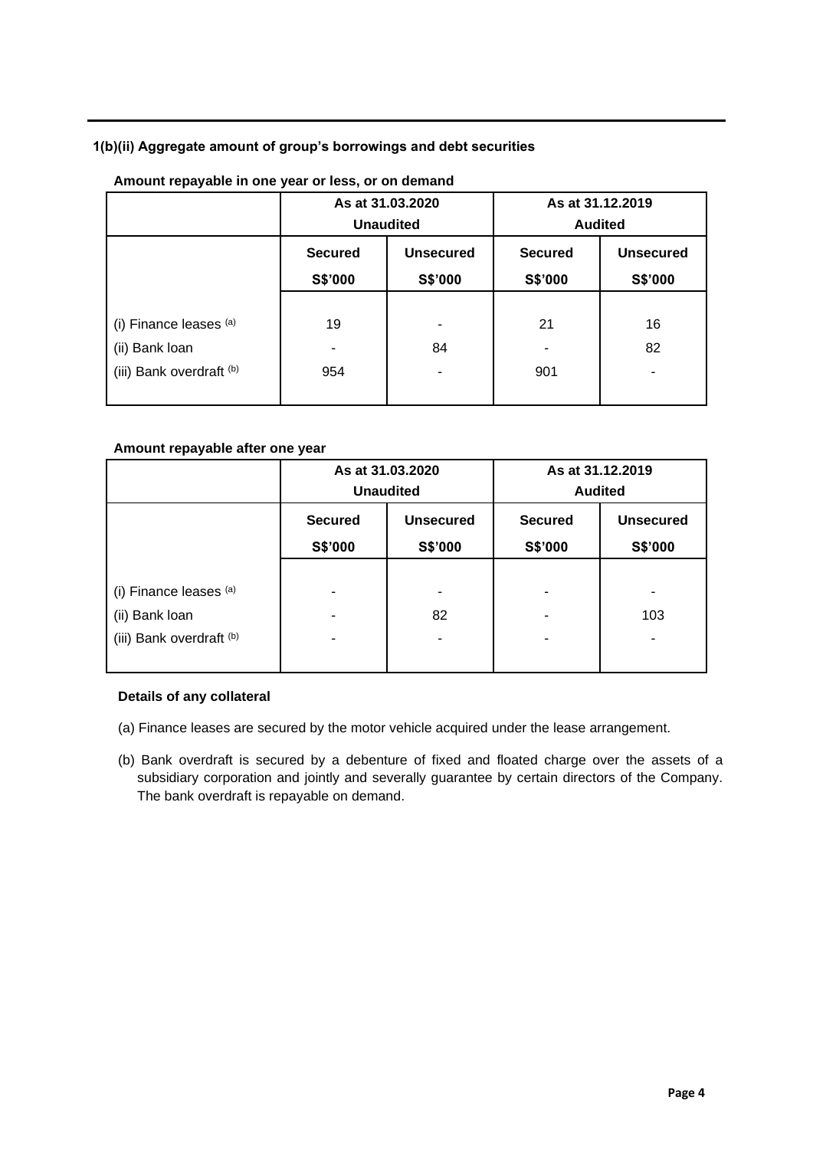## **1(b)(ii) Aggregate amount of group's borrowings and debt securities**

|                                                                      |                                                          | As at 31.03.2020<br><b>Unaudited</b> | As at 31.12.2019          | <b>Audited</b>              |
|----------------------------------------------------------------------|----------------------------------------------------------|--------------------------------------|---------------------------|-----------------------------|
|                                                                      | <b>Unsecured</b><br><b>Secured</b><br>S\$'000<br>S\$'000 |                                      | <b>Secured</b><br>S\$'000 | <b>Unsecured</b><br>S\$'000 |
| (i) Finance leases (a)<br>(ii) Bank loan<br>(iii) Bank overdraft (b) | 19<br>۰<br>954                                           | ۰<br>84                              | 21<br>۰<br>901            | 16<br>82<br>۰               |

## **Amount repayable in one year or less, or on demand**

## **Amount repayable after one year**

|                                            |                                                          | As at 31.03.2020<br><b>Unaudited</b> | As at 31.12.2019<br><b>Audited</b> |                             |  |
|--------------------------------------------|----------------------------------------------------------|--------------------------------------|------------------------------------|-----------------------------|--|
|                                            | <b>Unsecured</b><br><b>Secured</b><br>S\$'000<br>S\$'000 |                                      | <b>Secured</b><br>S\$'000          | <b>Unsecured</b><br>S\$'000 |  |
| (i) Finance leases $(a)$                   | ۰                                                        | -                                    |                                    | -                           |  |
| (ii) Bank loan<br>(iii) Bank overdraft (b) | ۰<br>۰                                                   | 82<br>۰                              |                                    | 103<br>٠                    |  |

## **Details of any collateral**

- (a) Finance leases are secured by the motor vehicle acquired under the lease arrangement.
- (b) Bank overdraft is secured by a debenture of fixed and floated charge over the assets of a subsidiary corporation and jointly and severally guarantee by certain directors of the Company. The bank overdraft is repayable on demand.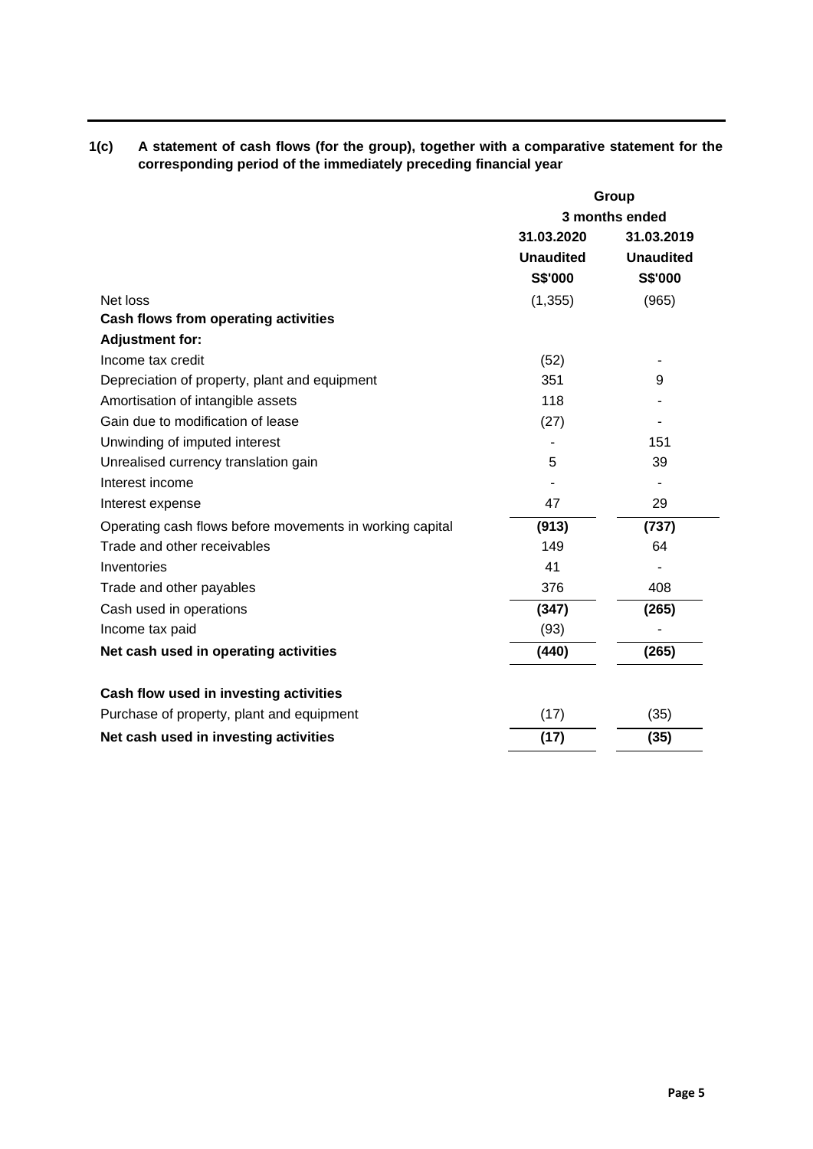| 1(c) | A statement of cash flows (for the group), together with a comparative statement for the |
|------|------------------------------------------------------------------------------------------|
|      | corresponding period of the immediately preceding financial year                         |

|                                                          | Group            |                  |  |
|----------------------------------------------------------|------------------|------------------|--|
|                                                          | 3 months ended   |                  |  |
|                                                          | 31.03.2020       | 31.03.2019       |  |
|                                                          | <b>Unaudited</b> | <b>Unaudited</b> |  |
|                                                          | S\$'000          | <b>S\$'000</b>   |  |
| Net loss                                                 | (1,355)          | (965)            |  |
| Cash flows from operating activities                     |                  |                  |  |
| <b>Adjustment for:</b>                                   |                  |                  |  |
| Income tax credit                                        | (52)             |                  |  |
| Depreciation of property, plant and equipment            | 351              | 9                |  |
| Amortisation of intangible assets                        | 118              |                  |  |
| Gain due to modification of lease                        | (27)             |                  |  |
| Unwinding of imputed interest                            |                  | 151              |  |
| Unrealised currency translation gain                     | 5                | 39               |  |
| Interest income                                          |                  |                  |  |
| Interest expense                                         | 47               | 29               |  |
| Operating cash flows before movements in working capital | (913)            | (737)            |  |
| Trade and other receivables                              | 149              | 64               |  |
| Inventories                                              | 41               |                  |  |
| Trade and other payables                                 | 376              | 408              |  |
| Cash used in operations                                  | (347)            | (265)            |  |
| Income tax paid                                          | (93)             |                  |  |
| Net cash used in operating activities                    | (440)            | (265)            |  |
| Cash flow used in investing activities                   |                  |                  |  |
| Purchase of property, plant and equipment                | (17)             | (35)             |  |
| Net cash used in investing activities                    | (17)             | (35)             |  |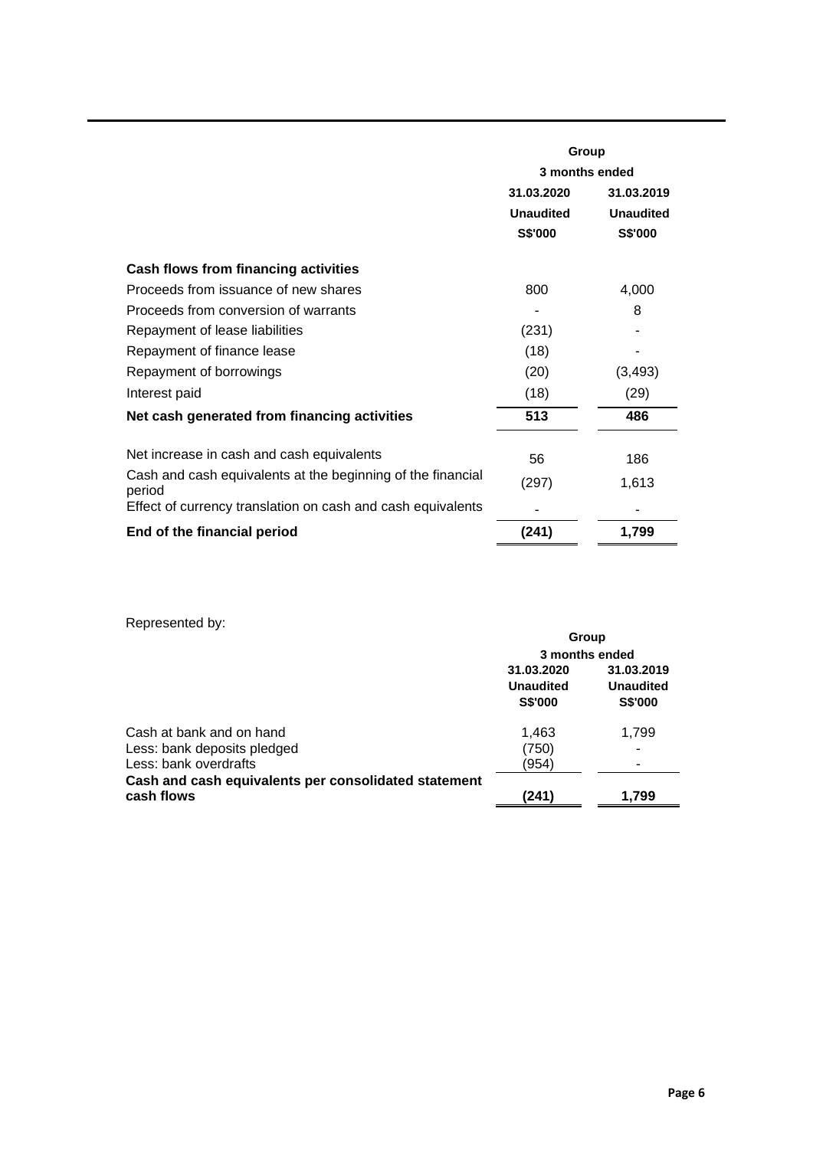|                                                                       | Group            |                  |  |  |
|-----------------------------------------------------------------------|------------------|------------------|--|--|
|                                                                       | 3 months ended   |                  |  |  |
|                                                                       | 31.03.2020       | 31.03.2019       |  |  |
|                                                                       | <b>Unaudited</b> | <b>Unaudited</b> |  |  |
|                                                                       | S\$'000          | S\$'000          |  |  |
| <b>Cash flows from financing activities</b>                           |                  |                  |  |  |
| Proceeds from issuance of new shares                                  | 800              | 4,000            |  |  |
| Proceeds from conversion of warrants                                  |                  | 8                |  |  |
| Repayment of lease liabilities                                        | (231)            |                  |  |  |
| Repayment of finance lease                                            | (18)             |                  |  |  |
| Repayment of borrowings                                               | (20)             | (3, 493)         |  |  |
| Interest paid                                                         | (18)             | (29)             |  |  |
| Net cash generated from financing activities                          | 513              | 486              |  |  |
| Net increase in cash and cash equivalents                             | 56               | 186              |  |  |
| Cash and cash equivalents at the beginning of the financial<br>period | (297)            | 1,613            |  |  |
| Effect of currency translation on cash and cash equivalents           |                  |                  |  |  |
| End of the financial period                                           | (241)            | 1,799            |  |  |

Represented by:

|                                                                    |                                                  | Group                                            |
|--------------------------------------------------------------------|--------------------------------------------------|--------------------------------------------------|
|                                                                    | 3 months ended                                   |                                                  |
|                                                                    | 31.03.2020<br><b>Unaudited</b><br><b>S\$'000</b> | 31.03.2019<br><b>Unaudited</b><br><b>S\$'000</b> |
| Cash at bank and on hand                                           | 1.463                                            | 1,799                                            |
| Less: bank deposits pledged                                        | (750)                                            |                                                  |
| Less: bank overdrafts                                              | (954)                                            |                                                  |
| Cash and cash equivalents per consolidated statement<br>cash flows | (241)                                            | 1.799                                            |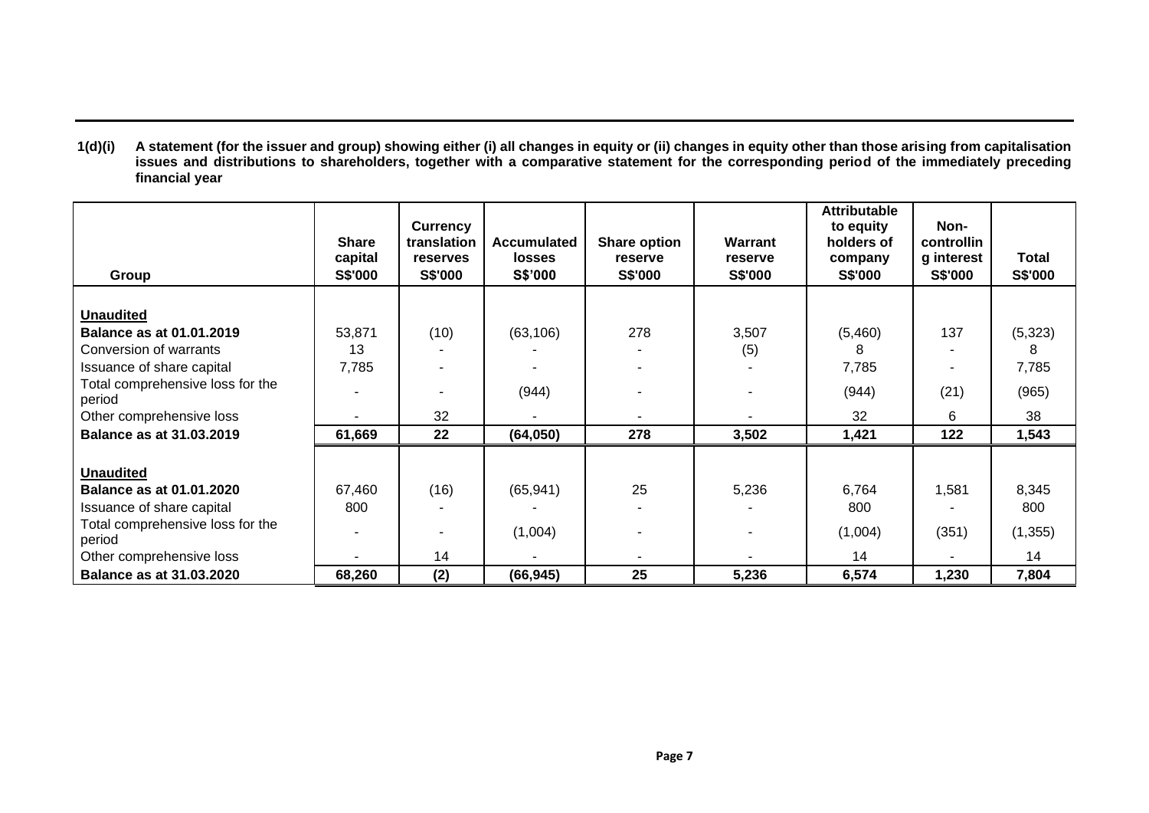**1(d)(i) A statement (for the issuer and group) showing either (i) all changes in equity or (ii) changes in equity other than those arising from capitalisation issues and distributions to shareholders, together with a comparative statement for the corresponding period of the immediately preceding financial year**

| Group                            | <b>Share</b><br>capital<br><b>S\$'000</b> | Currency<br>translation<br>reserves<br><b>S\$'000</b> | <b>Accumulated</b><br>losses<br>S\$'000 | Share option<br>reserve<br>S\$'000 | Warrant<br>reserve<br><b>S\$'000</b> | <b>Attributable</b><br>to equity<br>holders of<br>company<br><b>S\$'000</b> | Non-<br>controllin<br>g interest<br><b>S\$'000</b> | Total<br>S\$'000 |
|----------------------------------|-------------------------------------------|-------------------------------------------------------|-----------------------------------------|------------------------------------|--------------------------------------|-----------------------------------------------------------------------------|----------------------------------------------------|------------------|
|                                  |                                           |                                                       |                                         |                                    |                                      |                                                                             |                                                    |                  |
| <b>Unaudited</b>                 |                                           |                                                       |                                         |                                    |                                      |                                                                             |                                                    |                  |
| <b>Balance as at 01.01.2019</b>  | 53,871                                    | (10)                                                  | (63, 106)                               | 278                                | 3,507                                | (5,460)                                                                     | 137                                                | (5,323)          |
| Conversion of warrants           | 13                                        |                                                       |                                         |                                    | (5)                                  | 8                                                                           |                                                    | 8                |
| Issuance of share capital        | 7,785                                     |                                                       |                                         |                                    |                                      | 7,785                                                                       |                                                    | 7,785            |
| Total comprehensive loss for the |                                           |                                                       | (944)                                   |                                    |                                      | (944)                                                                       | (21)                                               | (965)            |
| period                           |                                           |                                                       |                                         |                                    |                                      |                                                                             |                                                    |                  |
| Other comprehensive loss         |                                           | 32                                                    |                                         |                                    |                                      | 32                                                                          | 6                                                  | 38               |
| Balance as at 31.03.2019         | 61,669                                    | 22                                                    | (64,050)                                | 278                                | 3,502                                | 1,421                                                                       | 122                                                | 1,543            |
|                                  |                                           |                                                       |                                         |                                    |                                      |                                                                             |                                                    |                  |
| <b>Unaudited</b>                 |                                           |                                                       |                                         |                                    |                                      |                                                                             |                                                    |                  |
| <b>Balance as at 01.01.2020</b>  | 67,460                                    | (16)                                                  | (65, 941)                               | 25                                 | 5,236                                | 6,764                                                                       | 1,581                                              | 8,345            |
| Issuance of share capital        | 800                                       |                                                       |                                         |                                    |                                      | 800                                                                         |                                                    | 800              |
| Total comprehensive loss for the |                                           |                                                       | (1,004)                                 |                                    |                                      | (1,004)                                                                     | (351)                                              | (1, 355)         |
| period                           |                                           |                                                       |                                         |                                    |                                      |                                                                             |                                                    |                  |
| Other comprehensive loss         |                                           | 14                                                    |                                         |                                    |                                      | 14                                                                          |                                                    | 14               |
| <b>Balance as at 31.03.2020</b>  | 68,260                                    | (2)                                                   | (66, 945)                               | 25                                 | 5,236                                | 6,574                                                                       | 1,230                                              | 7,804            |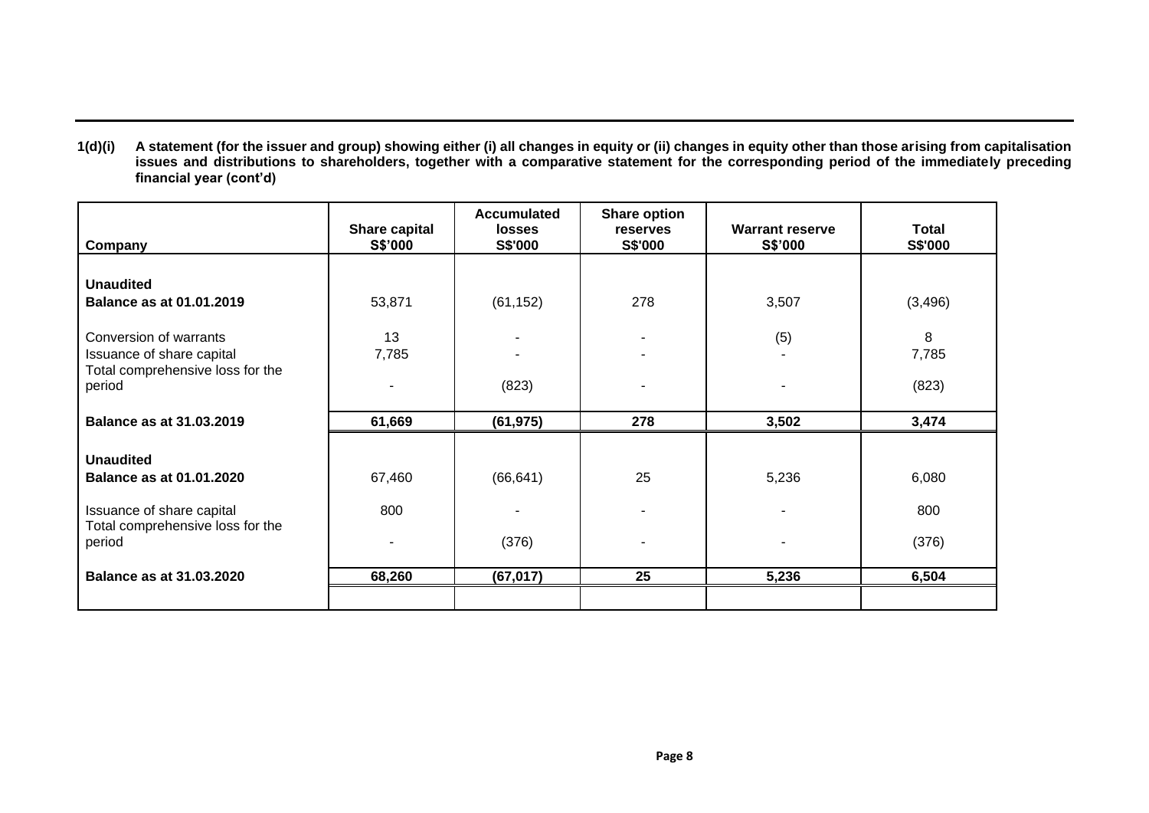**1(d)(i) A statement (for the issuer and group) showing either (i) all changes in equity or (ii) changes in equity other than those arising from capitalisation issues and distributions to shareholders, together with a comparative statement for the corresponding period of the immediately preceding financial year (cont'd)**

| Company                                                                                 | Share capital<br>S\$'000 | <b>Accumulated</b><br><b>losses</b><br><b>S\$'000</b> | <b>Share option</b><br>reserves<br><b>S\$'000</b> | <b>Warrant reserve</b><br>S\$'000 | Total<br><b>S\$'000</b> |
|-----------------------------------------------------------------------------------------|--------------------------|-------------------------------------------------------|---------------------------------------------------|-----------------------------------|-------------------------|
| <b>Unaudited</b>                                                                        |                          |                                                       |                                                   |                                   |                         |
| <b>Balance as at 01.01.2019</b>                                                         | 53,871                   | (61, 152)                                             | 278                                               | 3,507                             | (3, 496)                |
| Conversion of warrants<br>Issuance of share capital<br>Total comprehensive loss for the | 13<br>7,785              |                                                       |                                                   | (5)                               | 8<br>7,785              |
| period                                                                                  |                          | (823)                                                 |                                                   |                                   | (823)                   |
| <b>Balance as at 31.03.2019</b>                                                         | 61,669                   | (61, 975)                                             | 278                                               | 3,502                             | 3,474                   |
| <b>Unaudited</b><br><b>Balance as at 01.01.2020</b>                                     | 67,460                   | (66, 641)                                             | 25                                                | 5,236                             | 6,080                   |
| Issuance of share capital<br>Total comprehensive loss for the                           | 800                      |                                                       |                                                   |                                   | 800                     |
| period                                                                                  | ٠                        | (376)                                                 |                                                   |                                   | (376)                   |
| <b>Balance as at 31.03.2020</b>                                                         | 68,260                   | (67, 017)                                             | 25                                                | 5,236                             | 6,504                   |
|                                                                                         |                          |                                                       |                                                   |                                   |                         |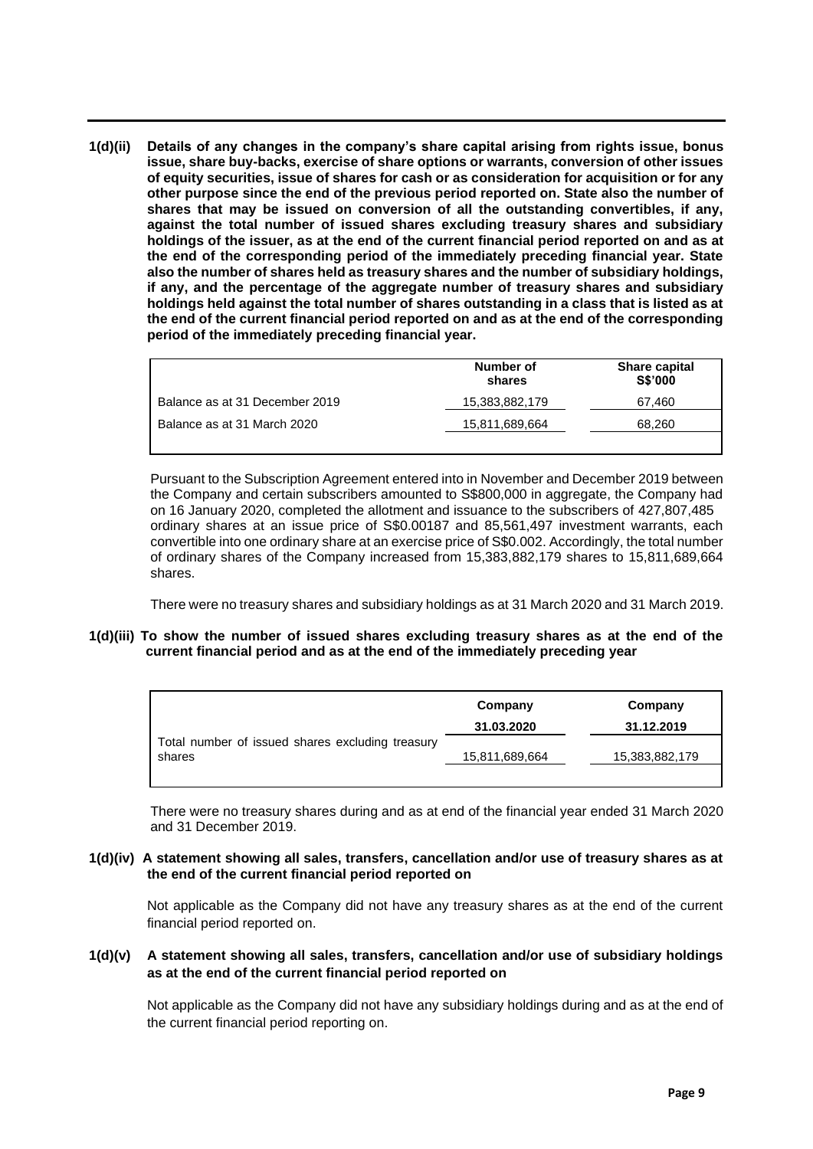**1(d)(ii) Details of any changes in the company's share capital arising from rights issue, bonus issue, share buy-backs, exercise of share options or warrants, conversion of other issues of equity securities, issue of shares for cash or as consideration for acquisition or for any other purpose since the end of the previous period reported on. State also the number of shares that may be issued on conversion of all the outstanding convertibles, if any, against the total number of issued shares excluding treasury shares and subsidiary holdings of the issuer, as at the end of the current financial period reported on and as at the end of the corresponding period of the immediately preceding financial year. State also the number of shares held as treasury shares and the number of subsidiary holdings, if any, and the percentage of the aggregate number of treasury shares and subsidiary holdings held against the total number of shares outstanding in a class that is listed as at the end of the current financial period reported on and as at the end of the corresponding period of the immediately preceding financial year.**

|                                | Number of<br>shares | <b>Share capital</b><br><b>S\$'000</b> |
|--------------------------------|---------------------|----------------------------------------|
| Balance as at 31 December 2019 | 15,383,882,179      | 67.460                                 |
| Balance as at 31 March 2020    | 15,811,689,664      | 68.260                                 |
|                                |                     |                                        |

Pursuant to the Subscription Agreement entered into in November and December 2019 between the Company and certain subscribers amounted to S\$800,000 in aggregate, the Company had on 16 January 2020, completed the allotment and issuance to the subscribers of 427,807,485 ordinary shares at an issue price of S\$0.00187 and 85,561,497 investment warrants, each convertible into one ordinary share at an exercise price of S\$0.002. Accordingly, the total number of ordinary shares of the Company increased from 15,383,882,179 shares to 15,811,689,664 shares.

There were no treasury shares and subsidiary holdings as at 31 March 2020 and 31 March 2019.

**1(d)(iii) To show the number of issued shares excluding treasury shares as at the end of the current financial period and as at the end of the immediately preceding year**

|                                                  | Company        | Company        |
|--------------------------------------------------|----------------|----------------|
|                                                  | 31.03.2020     | 31.12.2019     |
| Total number of issued shares excluding treasury |                |                |
| shares                                           | 15,811,689,664 | 15,383,882,179 |
|                                                  |                |                |

There were no treasury shares during and as at end of the financial year ended 31 March 2020 and 31 December 2019.

#### **1(d)(iv) A statement showing all sales, transfers, cancellation and/or use of treasury shares as at the end of the current financial period reported on**

Not applicable as the Company did not have any treasury shares as at the end of the current financial period reported on.

## **1(d)(v) A statement showing all sales, transfers, cancellation and/or use of subsidiary holdings as at the end of the current financial period reported on**

Not applicable as the Company did not have any subsidiary holdings during and as at the end of the current financial period reporting on.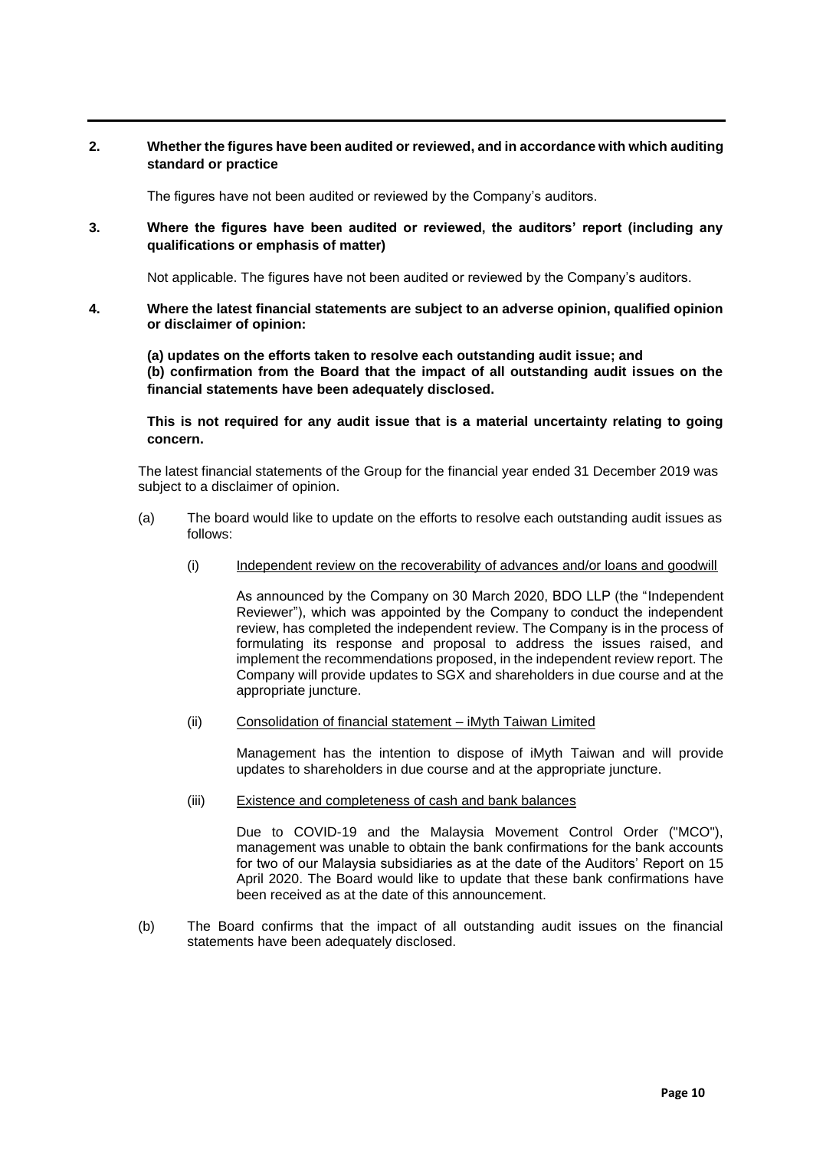## **2. Whether the figures have been audited or reviewed, and in accordance with which auditing standard or practice**

The figures have not been audited or reviewed by the Company's auditors.

**3. Where the figures have been audited or reviewed, the auditors' report (including any qualifications or emphasis of matter)**

Not applicable. The figures have not been audited or reviewed by the Company's auditors.

**4. Where the latest financial statements are subject to an adverse opinion, qualified opinion or disclaimer of opinion:** 

**(a) updates on the efforts taken to resolve each outstanding audit issue; and (b) confirmation from the Board that the impact of all outstanding audit issues on the financial statements have been adequately disclosed.** 

**This is not required for any audit issue that is a material uncertainty relating to going concern.** 

The latest financial statements of the Group for the financial year ended 31 December 2019 was subject to a disclaimer of opinion.

- (a) The board would like to update on the efforts to resolve each outstanding audit issues as follows:
	- (i) Independent review on the recoverability of advances and/or loans and goodwill

As announced by the Company on 30 March 2020, BDO LLP (the "Independent Reviewer"), which was appointed by the Company to conduct the independent review, has completed the independent review. The Company is in the process of formulating its response and proposal to address the issues raised, and implement the recommendations proposed, in the independent review report. The Company will provide updates to SGX and shareholders in due course and at the appropriate juncture.

(ii) Consolidation of financial statement – iMyth Taiwan Limited

Management has the intention to dispose of iMyth Taiwan and will provide updates to shareholders in due course and at the appropriate juncture.

(iii) Existence and completeness of cash and bank balances

Due to COVID-19 and the Malaysia Movement Control Order ("MCO"), management was unable to obtain the bank confirmations for the bank accounts for two of our Malaysia subsidiaries as at the date of the Auditors' Report on 15 April 2020. The Board would like to update that these bank confirmations have been received as at the date of this announcement.

(b) The Board confirms that the impact of all outstanding audit issues on the financial statements have been adequately disclosed.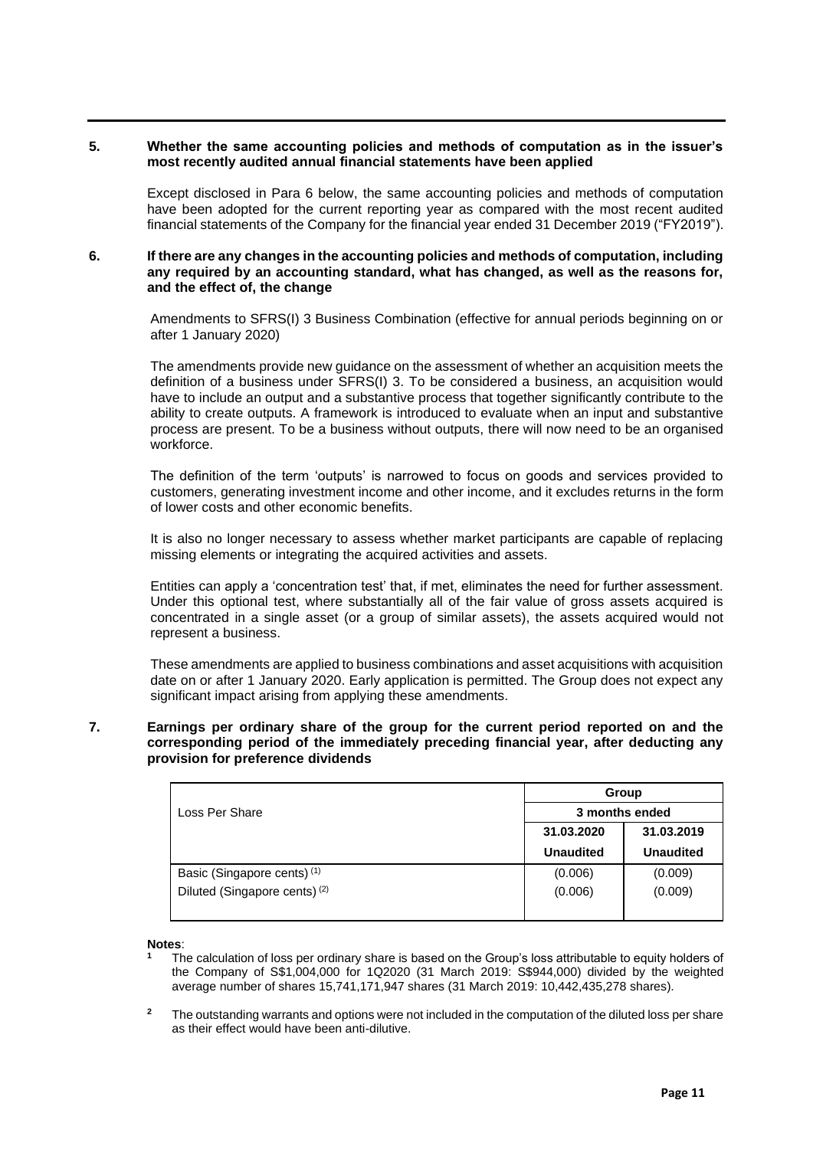#### **5. Whether the same accounting policies and methods of computation as in the issuer's most recently audited annual financial statements have been applied**

Except disclosed in Para 6 below, the same accounting policies and methods of computation have been adopted for the current reporting year as compared with the most recent audited financial statements of the Company for the financial year ended 31 December 2019 ("FY2019").

### **6. If there are any changes in the accounting policies and methods of computation, including any required by an accounting standard, what has changed, as well as the reasons for, and the effect of, the change**

Amendments to SFRS(I) 3 Business Combination (effective for annual periods beginning on or after 1 January 2020)

The amendments provide new guidance on the assessment of whether an acquisition meets the definition of a business under SFRS(I) 3. To be considered a business, an acquisition would have to include an output and a substantive process that together significantly contribute to the ability to create outputs. A framework is introduced to evaluate when an input and substantive process are present. To be a business without outputs, there will now need to be an organised workforce.

The definition of the term 'outputs' is narrowed to focus on goods and services provided to customers, generating investment income and other income, and it excludes returns in the form of lower costs and other economic benefits.

It is also no longer necessary to assess whether market participants are capable of replacing missing elements or integrating the acquired activities and assets.

Entities can apply a 'concentration test' that, if met, eliminates the need for further assessment. Under this optional test, where substantially all of the fair value of gross assets acquired is concentrated in a single asset (or a group of similar assets), the assets acquired would not represent a business.

These amendments are applied to business combinations and asset acquisitions with acquisition date on or after 1 January 2020. Early application is permitted. The Group does not expect any significant impact arising from applying these amendments.

## **7. Earnings per ordinary share of the group for the current period reported on and the corresponding period of the immediately preceding financial year, after deducting any provision for preference dividends**

|                                          | Group            |                  |  |  |
|------------------------------------------|------------------|------------------|--|--|
| Loss Per Share                           | 3 months ended   |                  |  |  |
|                                          | 31.03.2020       | 31.03.2019       |  |  |
|                                          | <b>Unaudited</b> | <b>Unaudited</b> |  |  |
| Basic (Singapore cents) <sup>(1)</sup>   | (0.006)          | (0.009)          |  |  |
| Diluted (Singapore cents) <sup>(2)</sup> | (0.006)          | (0.009)          |  |  |

**Notes**:

- **<sup>1</sup>** The calculation of loss per ordinary share is based on the Group's loss attributable to equity holders of the Company of S\$1,004,000 for 1Q2020 (31 March 2019: S\$944,000) divided by the weighted average number of shares 15,741,171,947 shares (31 March 2019: 10,442,435,278 shares).
- <sup>2</sup> The outstanding warrants and options were not included in the computation of the diluted loss per share as their effect would have been anti-dilutive.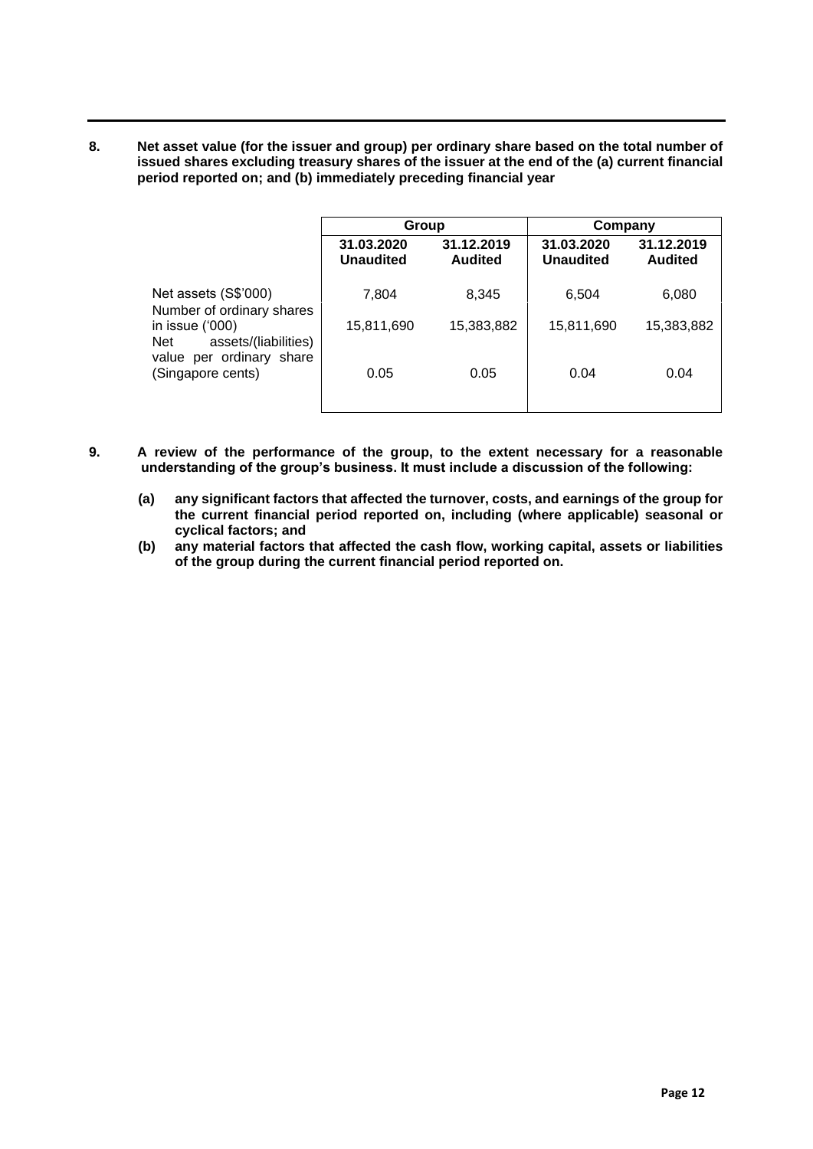**8. Net asset value (for the issuer and group) per ordinary share based on the total number of issued shares excluding treasury shares of the issuer at the end of the (a) current financial period reported on; and (b) immediately preceding financial year**

|                                                   | Group                          |                              | Company                        |                       |
|---------------------------------------------------|--------------------------------|------------------------------|--------------------------------|-----------------------|
|                                                   | 31.03.2020<br><b>Unaudited</b> | 31.12.2019<br><b>Audited</b> | 31.03.2020<br><b>Unaudited</b> | 31.12.2019<br>Audited |
| Net assets (S\$'000)<br>Number of ordinary shares | 7.804                          | 8,345                        | 6,504                          | 6,080                 |
| in issue $(000)$<br>assets/(liabilities)<br>Net   | 15,811,690                     | 15,383,882                   | 15,811,690                     | 15,383,882            |
| value per ordinary share<br>(Singapore cents)     | 0.05                           | 0.05                         | 0.04                           | 0.04                  |

- **9. A review of the performance of the group, to the extent necessary for a reasonable understanding of the group's business. It must include a discussion of the following:**
	- **(a) any significant factors that affected the turnover, costs, and earnings of the group for the current financial period reported on, including (where applicable) seasonal or cyclical factors; and**
	- **(b) any material factors that affected the cash flow, working capital, assets or liabilities of the group during the current financial period reported on.**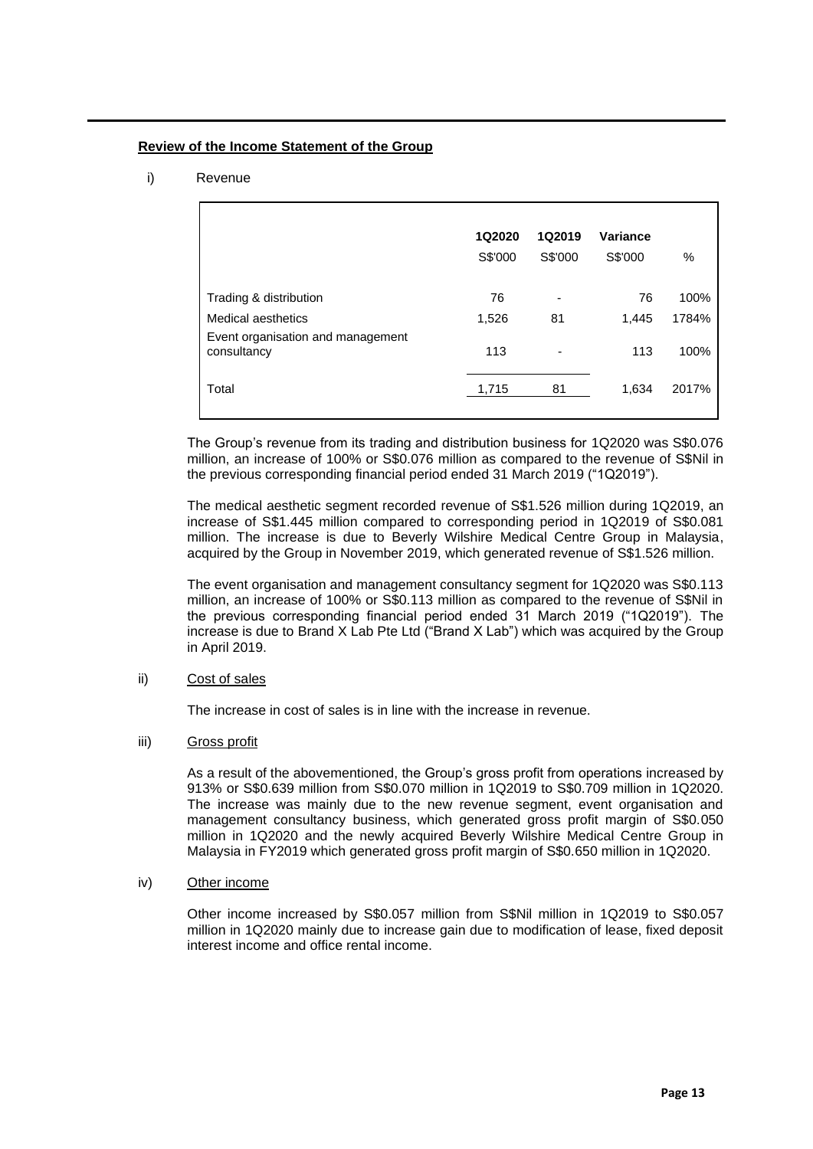## **Review of the Income Statement of the Group**

## i) Revenue

|                                                  | 1Q2020<br>S\$'000 | 1Q2019<br>S\$'000 | Variance<br>S\$'000 | %     |
|--------------------------------------------------|-------------------|-------------------|---------------------|-------|
| Trading & distribution                           | 76                |                   | 76                  | 100%  |
| Medical aesthetics                               | 1,526             | 81                | 1,445               | 1784% |
| Event organisation and management<br>consultancy | 113               | ۰                 | 113                 | 100%  |
| Total                                            | 1,715             | 81                | 1,634               | 2017% |
|                                                  |                   |                   |                     |       |

The Group's revenue from its trading and distribution business for 1Q2020 was S\$0.076 million, an increase of 100% or S\$0.076 million as compared to the revenue of S\$Nil in the previous corresponding financial period ended 31 March 2019 ("1Q2019").

The medical aesthetic segment recorded revenue of S\$1.526 million during 1Q2019, an increase of S\$1.445 million compared to corresponding period in 1Q2019 of S\$0.081 million. The increase is due to Beverly Wilshire Medical Centre Group in Malaysia, acquired by the Group in November 2019, which generated revenue of S\$1.526 million.

The event organisation and management consultancy segment for 1Q2020 was S\$0.113 million, an increase of 100% or S\$0.113 million as compared to the revenue of S\$Nil in the previous corresponding financial period ended 31 March 2019 ("1Q2019"). The increase is due to Brand X Lab Pte Ltd ("Brand X Lab") which was acquired by the Group in April 2019.

## ii) Cost of sales

The increase in cost of sales is in line with the increase in revenue.

## iii) Gross profit

As a result of the abovementioned, the Group's gross profit from operations increased by 913% or S\$0.639 million from S\$0.070 million in 1Q2019 to S\$0.709 million in 1Q2020. The increase was mainly due to the new revenue segment, event organisation and management consultancy business, which generated gross profit margin of S\$0.050 million in 1Q2020 and the newly acquired Beverly Wilshire Medical Centre Group in Malaysia in FY2019 which generated gross profit margin of S\$0.650 million in 1Q2020.

### iv) Other income

Other income increased by S\$0.057 million from S\$Nil million in 1Q2019 to S\$0.057 million in 1Q2020 mainly due to increase gain due to modification of lease, fixed deposit interest income and office rental income.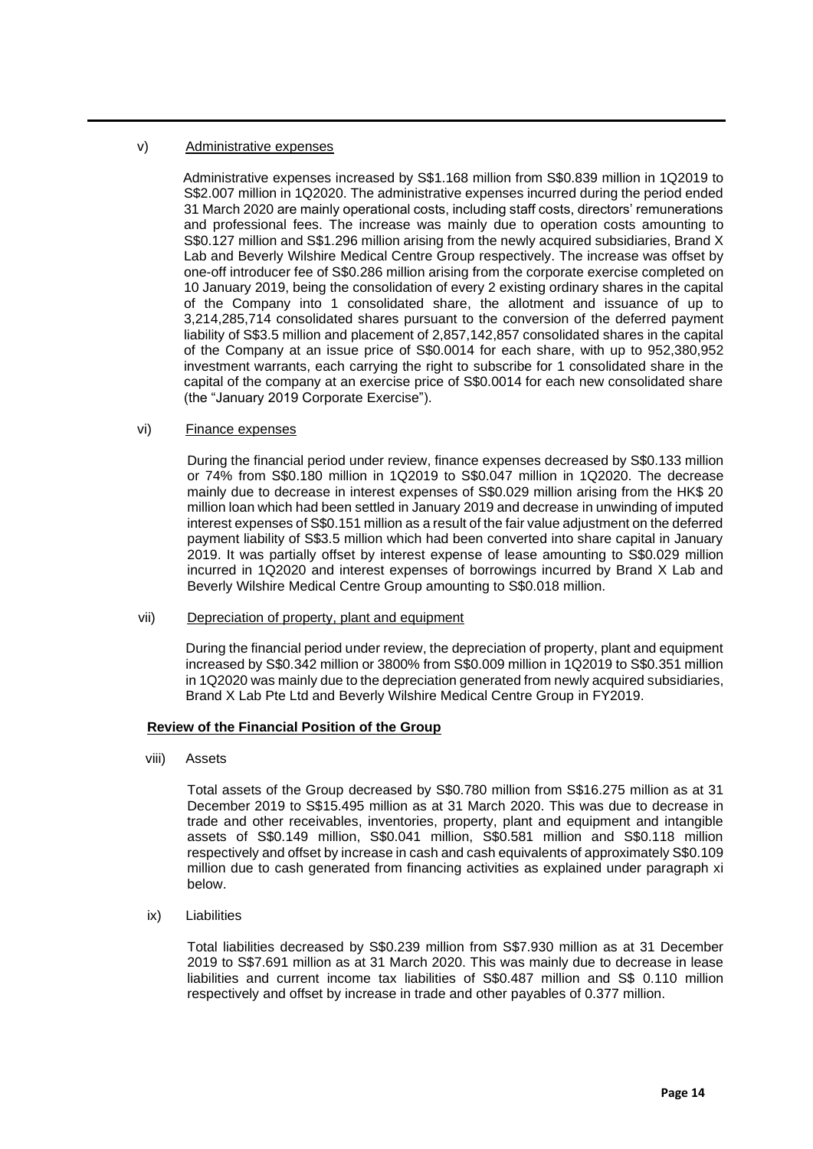## v) Administrative expenses

Administrative expenses increased by S\$1.168 million from S\$0.839 million in 1Q2019 to S\$2.007 million in 1Q2020. The administrative expenses incurred during the period ended 31 March 2020 are mainly operational costs, including staff costs, directors' remunerations and professional fees. The increase was mainly due to operation costs amounting to S\$0.127 million and S\$1.296 million arising from the newly acquired subsidiaries, Brand X Lab and Beverly Wilshire Medical Centre Group respectively. The increase was offset by one-off introducer fee of S\$0.286 million arising from the corporate exercise completed on 10 January 2019, being the consolidation of every 2 existing ordinary shares in the capital of the Company into 1 consolidated share, the allotment and issuance of up to 3,214,285,714 consolidated shares pursuant to the conversion of the deferred payment liability of S\$3.5 million and placement of 2,857,142,857 consolidated shares in the capital of the Company at an issue price of S\$0.0014 for each share, with up to 952,380,952 investment warrants, each carrying the right to subscribe for 1 consolidated share in the capital of the company at an exercise price of S\$0.0014 for each new consolidated share (the "January 2019 Corporate Exercise").

## vi) Finance expenses

During the financial period under review, finance expenses decreased by S\$0.133 million or 74% from S\$0.180 million in 1Q2019 to S\$0.047 million in 1Q2020. The decrease mainly due to decrease in interest expenses of S\$0.029 million arising from the HK\$ 20 million loan which had been settled in January 2019 and decrease in unwinding of imputed interest expenses of S\$0.151 million as a result of the fair value adjustment on the deferred payment liability of S\$3.5 million which had been converted into share capital in January 2019. It was partially offset by interest expense of lease amounting to S\$0.029 million incurred in 1Q2020 and interest expenses of borrowings incurred by Brand X Lab and Beverly Wilshire Medical Centre Group amounting to S\$0.018 million.

### vii) Depreciation of property, plant and equipment

During the financial period under review, the depreciation of property, plant and equipment increased by S\$0.342 million or 3800% from S\$0.009 million in 1Q2019 to S\$0.351 million in 1Q2020 was mainly due to the depreciation generated from newly acquired subsidiaries, Brand X Lab Pte Ltd and Beverly Wilshire Medical Centre Group in FY2019.

### **Review of the Financial Position of the Group**

viii) Assets

Total assets of the Group decreased by S\$0.780 million from S\$16.275 million as at 31 December 2019 to S\$15.495 million as at 31 March 2020. This was due to decrease in trade and other receivables, inventories, property, plant and equipment and intangible assets of S\$0.149 million, S\$0.041 million, S\$0.581 million and S\$0.118 million respectively and offset by increase in cash and cash equivalents of approximately S\$0.109 million due to cash generated from financing activities as explained under paragraph xi below.

ix) Liabilities

Total liabilities decreased by S\$0.239 million from S\$7.930 million as at 31 December 2019 to S\$7.691 million as at 31 March 2020. This was mainly due to decrease in lease liabilities and current income tax liabilities of S\$0.487 million and S\$ 0.110 million respectively and offset by increase in trade and other payables of 0.377 million.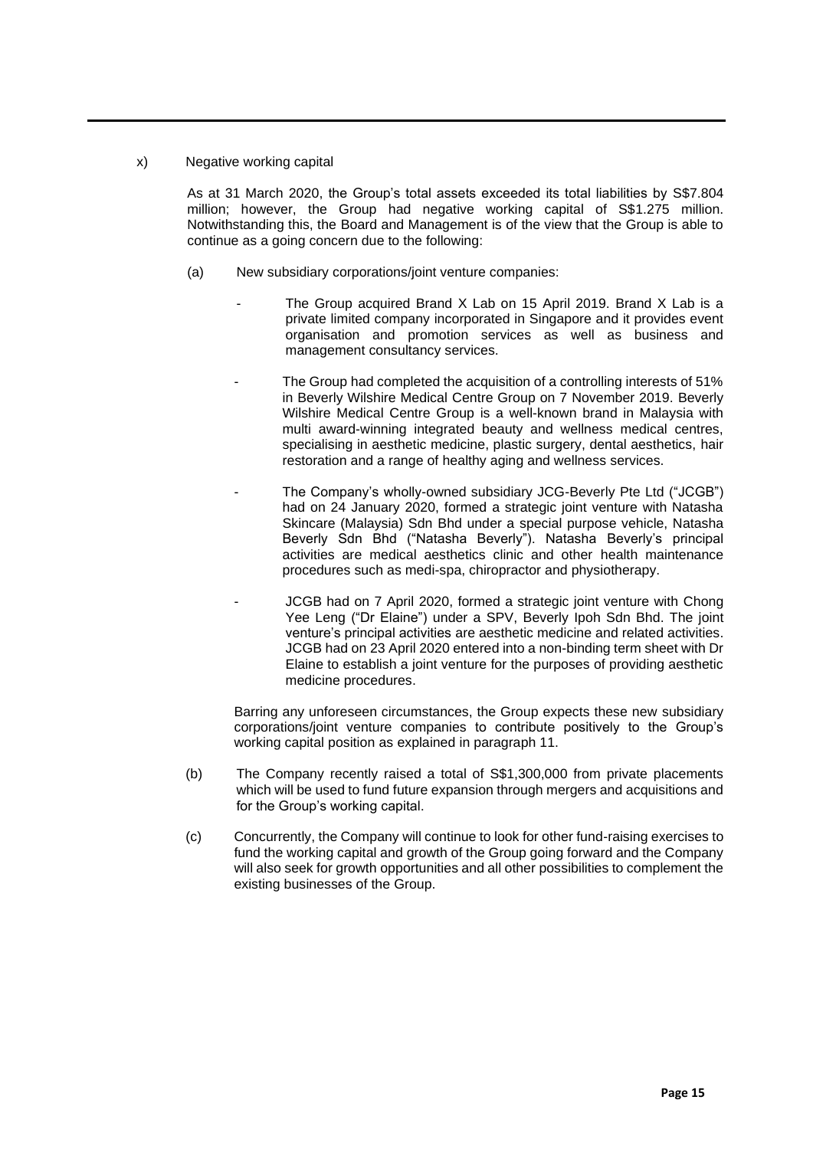## x) Negative working capital

As at 31 March 2020, the Group's total assets exceeded its total liabilities by S\$7.804 million; however, the Group had negative working capital of S\$1.275 million. Notwithstanding this, the Board and Management is of the view that the Group is able to continue as a going concern due to the following:

- (a) New subsidiary corporations/joint venture companies:
	- The Group acquired Brand X Lab on 15 April 2019. Brand X Lab is a private limited company incorporated in Singapore and it provides event organisation and promotion services as well as business and management consultancy services.
	- The Group had completed the acquisition of a controlling interests of 51% in Beverly Wilshire Medical Centre Group on 7 November 2019. Beverly Wilshire Medical Centre Group is a well-known brand in Malaysia with multi award-winning integrated beauty and wellness medical centres, specialising in aesthetic medicine, plastic surgery, dental aesthetics, hair restoration and a range of healthy aging and wellness services.
	- The Company's wholly-owned subsidiary JCG-Beverly Pte Ltd ("JCGB") had on 24 January 2020, formed a strategic joint venture with Natasha Skincare (Malaysia) Sdn Bhd under a special purpose vehicle, Natasha Beverly Sdn Bhd ("Natasha Beverly"). Natasha Beverly's principal activities are medical aesthetics clinic and other health maintenance procedures such as medi-spa, chiropractor and physiotherapy.
	- JCGB had on 7 April 2020, formed a strategic joint venture with Chong Yee Leng ("Dr Elaine") under a SPV, Beverly Ipoh Sdn Bhd. The joint venture's principal activities are aesthetic medicine and related activities. JCGB had on 23 April 2020 entered into a non-binding term sheet with Dr Elaine to establish a joint venture for the purposes of providing aesthetic medicine procedures.

Barring any unforeseen circumstances, the Group expects these new subsidiary corporations/joint venture companies to contribute positively to the Group's working capital position as explained in paragraph 11.

- (b) The Company recently raised a total of S\$1,300,000 from private placements which will be used to fund future expansion through mergers and acquisitions and for the Group's working capital.
- (c) Concurrently, the Company will continue to look for other fund-raising exercises to fund the working capital and growth of the Group going forward and the Company will also seek for growth opportunities and all other possibilities to complement the existing businesses of the Group.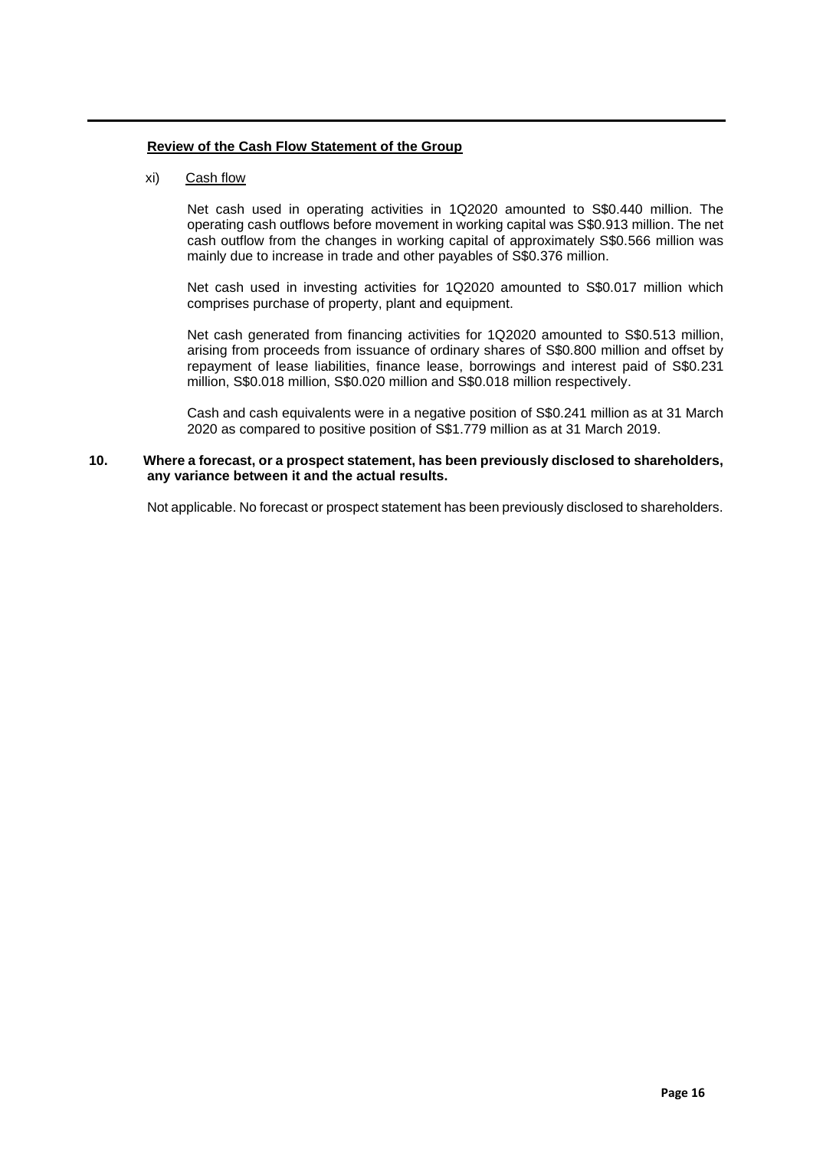## **Review of the Cash Flow Statement of the Group**

## xi) Cash flow

Net cash used in operating activities in 1Q2020 amounted to S\$0.440 million. The operating cash outflows before movement in working capital was S\$0.913 million. The net cash outflow from the changes in working capital of approximately S\$0.566 million was mainly due to increase in trade and other payables of S\$0.376 million.

Net cash used in investing activities for 1Q2020 amounted to S\$0.017 million which comprises purchase of property, plant and equipment.

Net cash generated from financing activities for 1Q2020 amounted to S\$0.513 million, arising from proceeds from issuance of ordinary shares of S\$0.800 million and offset by repayment of lease liabilities, finance lease, borrowings and interest paid of S\$0.231 million, S\$0.018 million, S\$0.020 million and S\$0.018 million respectively.

Cash and cash equivalents were in a negative position of S\$0.241 million as at 31 March 2020 as compared to positive position of S\$1.779 million as at 31 March 2019.

## **10. Where a forecast, or a prospect statement, has been previously disclosed to shareholders, any variance between it and the actual results.**

Not applicable. No forecast or prospect statement has been previously disclosed to shareholders.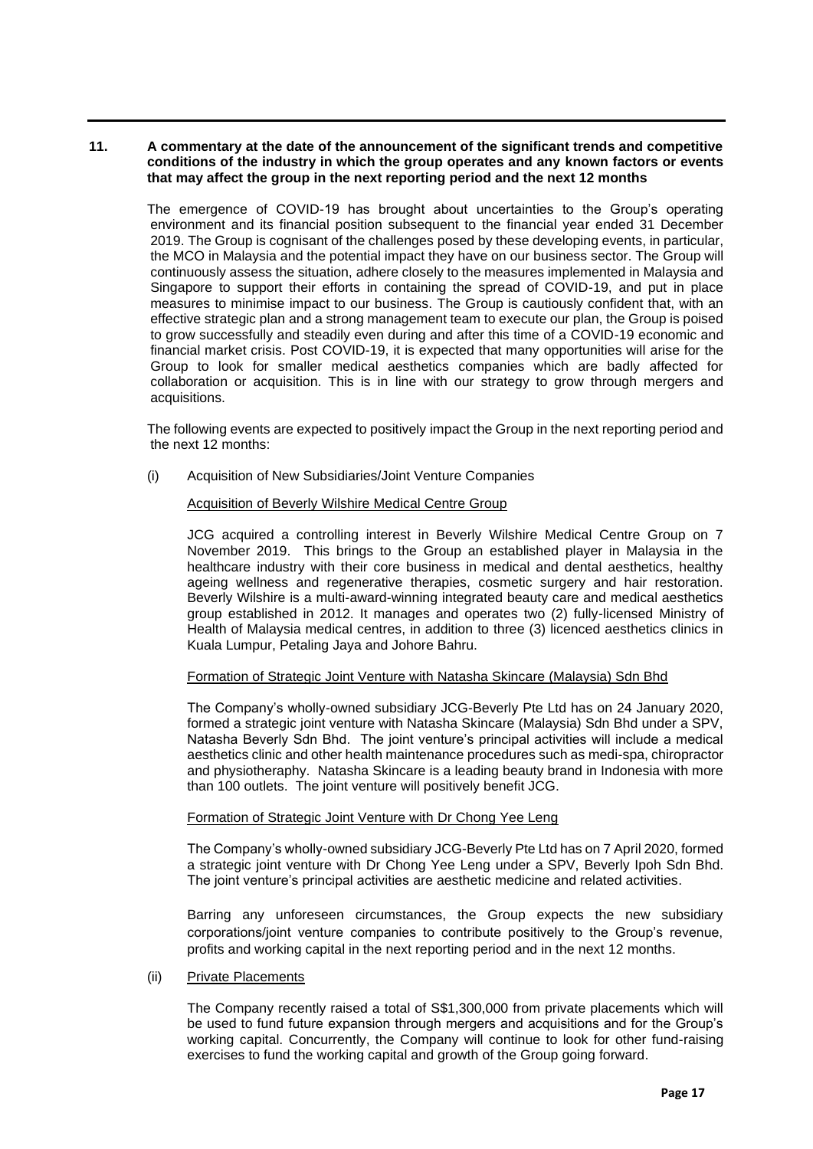## **11. A commentary at the date of the announcement of the significant trends and competitive conditions of the industry in which the group operates and any known factors or events that may affect the group in the next reporting period and the next 12 months**

The emergence of COVID-19 has brought about uncertainties to the Group's operating environment and its financial position subsequent to the financial year ended 31 December 2019. The Group is cognisant of the challenges posed by these developing events, in particular, the MCO in Malaysia and the potential impact they have on our business sector. The Group will continuously assess the situation, adhere closely to the measures implemented in Malaysia and Singapore to support their efforts in containing the spread of COVID-19, and put in place measures to minimise impact to our business. The Group is cautiously confident that, with an effective strategic plan and a strong management team to execute our plan, the Group is poised to grow successfully and steadily even during and after this time of a COVID-19 economic and financial market crisis. Post COVID-19, it is expected that many opportunities will arise for the Group to look for smaller medical aesthetics companies which are badly affected for collaboration or acquisition. This is in line with our strategy to grow through mergers and acquisitions.

The following events are expected to positively impact the Group in the next reporting period and the next 12 months:

(i) Acquisition of New Subsidiaries/Joint Venture Companies

### Acquisition of Beverly Wilshire Medical Centre Group

JCG acquired a controlling interest in Beverly Wilshire Medical Centre Group on 7 November 2019. This brings to the Group an established player in Malaysia in the healthcare industry with their core business in medical and dental aesthetics, healthy ageing wellness and regenerative therapies, cosmetic surgery and hair restoration. Beverly Wilshire is a multi-award-winning integrated beauty care and medical aesthetics group established in 2012. It manages and operates two (2) fully-licensed Ministry of Health of Malaysia medical centres, in addition to three (3) licenced aesthetics clinics in Kuala Lumpur, Petaling Jaya and Johore Bahru.

### Formation of Strategic Joint Venture with Natasha Skincare (Malaysia) Sdn Bhd

The Company's wholly-owned subsidiary JCG-Beverly Pte Ltd has on 24 January 2020, formed a strategic joint venture with Natasha Skincare (Malaysia) Sdn Bhd under a SPV, Natasha Beverly Sdn Bhd. The joint venture's principal activities will include a medical aesthetics clinic and other health maintenance procedures such as medi-spa, chiropractor and physiotheraphy. Natasha Skincare is a leading beauty brand in Indonesia with more than 100 outlets. The joint venture will positively benefit JCG.

### Formation of Strategic Joint Venture with Dr Chong Yee Leng

The Company's wholly-owned subsidiary JCG-Beverly Pte Ltd has on 7 April 2020, formed a strategic joint venture with Dr Chong Yee Leng under a SPV, Beverly Ipoh Sdn Bhd. The joint venture's principal activities are aesthetic medicine and related activities.

Barring any unforeseen circumstances, the Group expects the new subsidiary corporations/joint venture companies to contribute positively to the Group's revenue, profits and working capital in the next reporting period and in the next 12 months.

### (ii) Private Placements

The Company recently raised a total of S\$1,300,000 from private placements which will be used to fund future expansion through mergers and acquisitions and for the Group's working capital. Concurrently, the Company will continue to look for other fund-raising exercises to fund the working capital and growth of the Group going forward.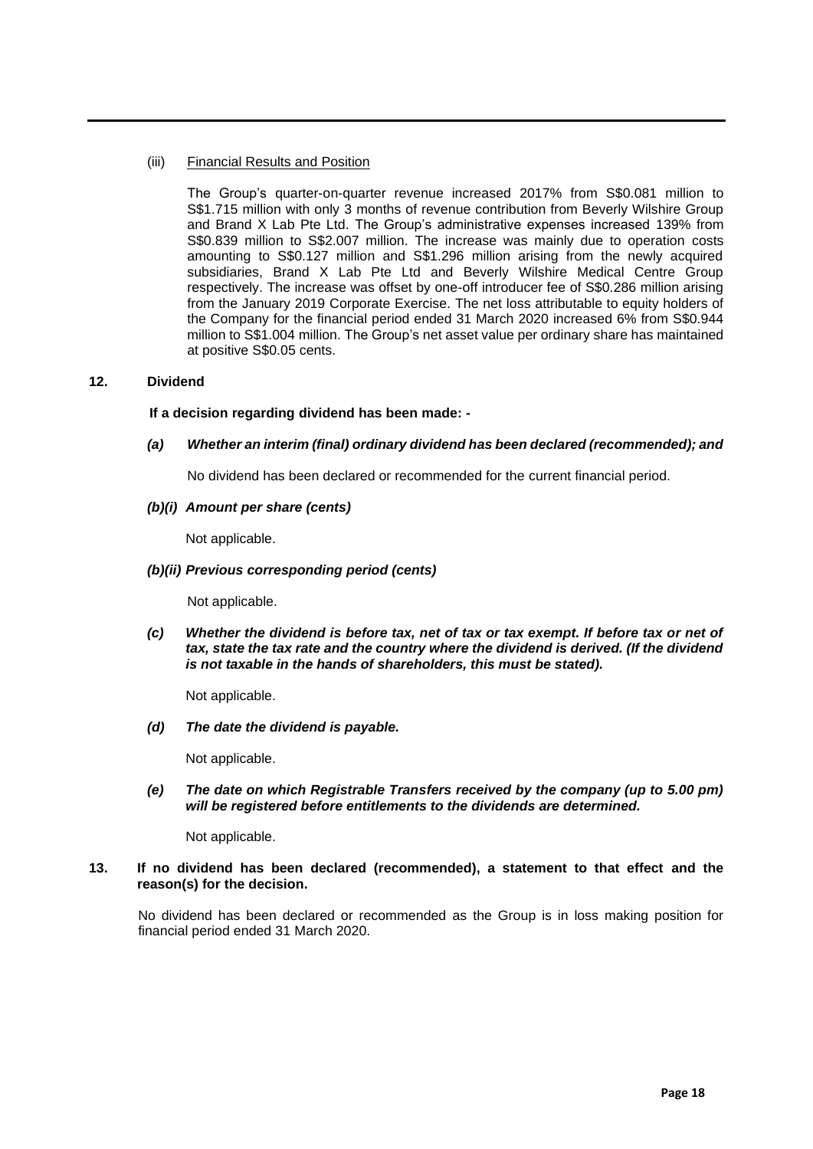## (iii) Financial Results and Position

The Group's quarter-on-quarter revenue increased 2017% from S\$0.081 million to S\$1.715 million with only 3 months of revenue contribution from Beverly Wilshire Group and Brand X Lab Pte Ltd. The Group's administrative expenses increased 139% from S\$0.839 million to S\$2.007 million. The increase was mainly due to operation costs amounting to S\$0.127 million and S\$1.296 million arising from the newly acquired subsidiaries, Brand X Lab Pte Ltd and Beverly Wilshire Medical Centre Group respectively. The increase was offset by one-off introducer fee of S\$0.286 million arising from the January 2019 Corporate Exercise. The net loss attributable to equity holders of the Company for the financial period ended 31 March 2020 increased 6% from S\$0.944 million to S\$1.004 million. The Group's net asset value per ordinary share has maintained at positive S\$0.05 cents.

## **12. Dividend**

## **If a decision regarding dividend has been made: -**

## *(a) Whether an interim (final) ordinary dividend has been declared (recommended); and*

No dividend has been declared or recommended for the current financial period.

### *(b)(i) Amount per share (cents)*

Not applicable.

## *(b)(ii) Previous corresponding period (cents)*

Not applicable.

*(c) Whether the dividend is before tax, net of tax or tax exempt. If before tax or net of tax, state the tax rate and the country where the dividend is derived. (If the dividend is not taxable in the hands of shareholders, this must be stated).*

Not applicable.

*(d) The date the dividend is payable.* 

Not applicable.

*(e) The date on which Registrable Transfers received by the company (up to 5.00 pm) will be registered before entitlements to the dividends are determined.*

Not applicable.

## **13. If no dividend has been declared (recommended), a statement to that effect and the reason(s) for the decision.**

No dividend has been declared or recommended as the Group is in loss making position for financial period ended 31 March 2020.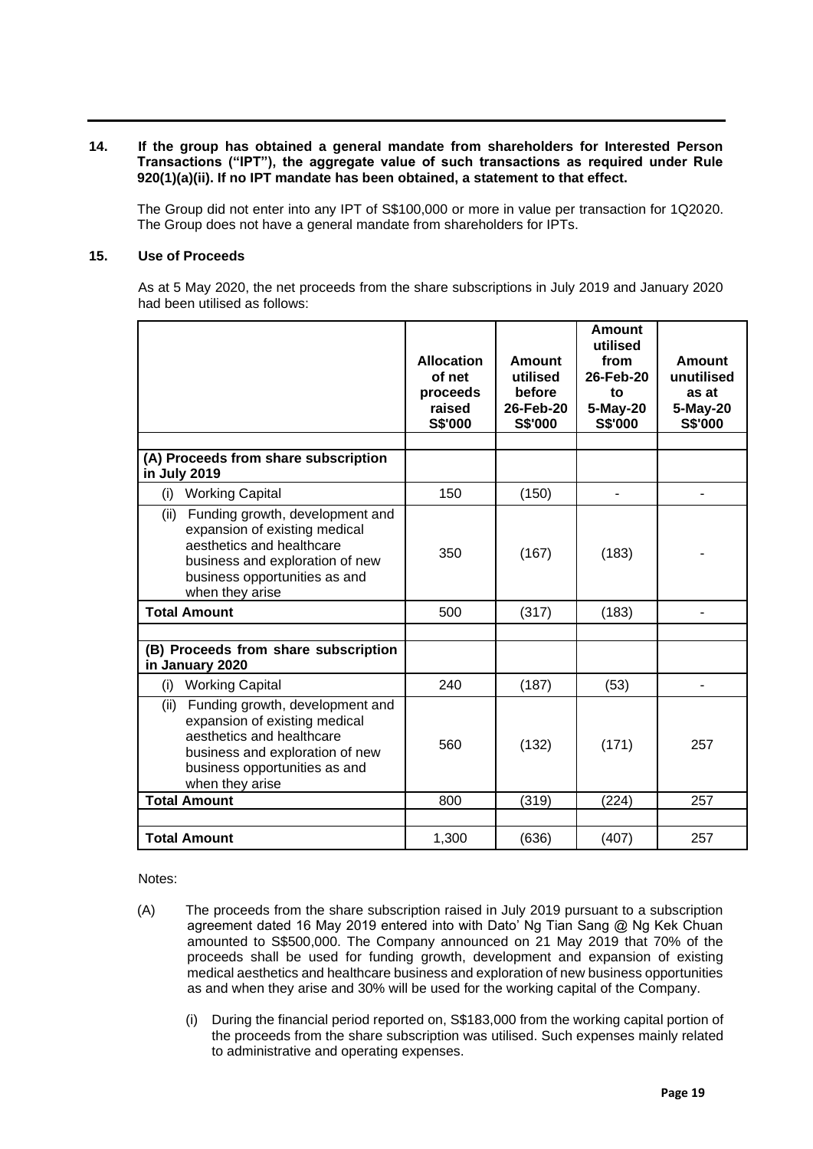## **14. If the group has obtained a general mandate from shareholders for Interested Person Transactions ("IPT"), the aggregate value of such transactions as required under Rule 920(1)(a)(ii). If no IPT mandate has been obtained, a statement to that effect.**

The Group did not enter into any IPT of S\$100,000 or more in value per transaction for 1Q2020. The Group does not have a general mandate from shareholders for IPTs.

## **15. Use of Proceeds**

As at 5 May 2020, the net proceeds from the share subscriptions in July 2019 and January 2020 had been utilised as follows:

|                                                                                                                                                                                              | <b>Allocation</b><br>of net<br>proceeds<br>raised<br><b>S\$'000</b> | Amount<br>utilised<br>before<br>26-Feb-20<br><b>S\$'000</b> | <b>Amount</b><br>utilised<br>from<br>26-Feb-20<br>to<br>5-May-20<br><b>S\$'000</b> | <b>Amount</b><br>unutilised<br>as at<br>5-May-20<br><b>S\$'000</b> |
|----------------------------------------------------------------------------------------------------------------------------------------------------------------------------------------------|---------------------------------------------------------------------|-------------------------------------------------------------|------------------------------------------------------------------------------------|--------------------------------------------------------------------|
|                                                                                                                                                                                              |                                                                     |                                                             |                                                                                    |                                                                    |
| (A) Proceeds from share subscription<br>in July 2019                                                                                                                                         |                                                                     |                                                             |                                                                                    |                                                                    |
| (i)<br><b>Working Capital</b>                                                                                                                                                                | 150                                                                 | (150)                                                       |                                                                                    |                                                                    |
| Funding growth, development and<br>(ii)<br>expansion of existing medical<br>aesthetics and healthcare<br>business and exploration of new<br>business opportunities as and<br>when they arise | 350                                                                 | (167)                                                       | (183)                                                                              |                                                                    |
| <b>Total Amount</b>                                                                                                                                                                          | 500                                                                 | (317)                                                       | (183)                                                                              |                                                                    |
|                                                                                                                                                                                              |                                                                     |                                                             |                                                                                    |                                                                    |
| (B) Proceeds from share subscription<br>in January 2020                                                                                                                                      |                                                                     |                                                             |                                                                                    |                                                                    |
| <b>Working Capital</b><br>(i)                                                                                                                                                                | 240                                                                 | (187)                                                       | (53)                                                                               | ۳                                                                  |
| Funding growth, development and<br>(ii)<br>expansion of existing medical<br>aesthetics and healthcare<br>business and exploration of new<br>business opportunities as and<br>when they arise | 560                                                                 | (132)                                                       | (171)                                                                              | 257                                                                |
| <b>Total Amount</b>                                                                                                                                                                          | 800                                                                 | (319)                                                       | (224)                                                                              | 257                                                                |
|                                                                                                                                                                                              |                                                                     |                                                             |                                                                                    |                                                                    |
| <b>Total Amount</b>                                                                                                                                                                          | 1,300                                                               | (636)                                                       | (407)                                                                              | 257                                                                |

Notes:

- (A) The proceeds from the share subscription raised in July 2019 pursuant to a subscription agreement dated 16 May 2019 entered into with Dato' Ng Tian Sang @ Ng Kek Chuan amounted to S\$500,000. The Company announced on 21 May 2019 that 70% of the proceeds shall be used for funding growth, development and expansion of existing medical aesthetics and healthcare business and exploration of new business opportunities as and when they arise and 30% will be used for the working capital of the Company.
	- (i) During the financial period reported on, S\$183,000 from the working capital portion of the proceeds from the share subscription was utilised. Such expenses mainly related to administrative and operating expenses.